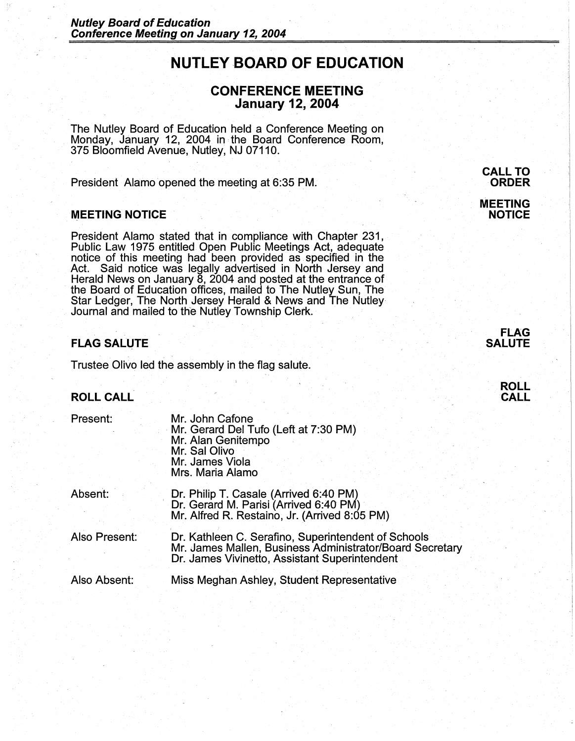# **NUTLEY-BOARD OF EDUCATION**

# **CONFERENCE MEETING January 12, 2004**

The Nutley Board of Education held a Conference Meeting on Monday, January 12, 2004 in , the Board Conference Room, 375 Bloomfield Avenue, Nutley, NJ 07110.

President Alamo opened the meeting at 6:35 PM.

# **MEETING NOTICE**

President Alamo stated that in compliance with Chapter 231, Public Law 1975 entitled Open Public Meetings Act, adequate notice of this meeting had been provided as specified in the Act. Said notice was legally advertised in North Jersey and Herald News on January 8, 2004 and posted at the entrance of the Board of Education offices, mailed to The Nutley Sun, The Star Ledger, The North Jersey Herald & News and The Nutley Journal and mailed to the Nutley Township Clerk.

## **FLAG SALUTE**

Trustee Olivo led the assembly in the flag salute.

# **ROLL CALL**

| Present:      | Mr. John Cafone<br>Mr. Gerard Del Tufo (Left at 7:30 PM)<br>Mr. Alan Genitempo<br>Mr. Sal Olivo<br>Mr. James Viola<br>Mrs. Maria Alamo                           |
|---------------|------------------------------------------------------------------------------------------------------------------------------------------------------------------|
| Absent:       | Dr. Philip T. Casale (Arrived 6:40 PM)<br>Dr. Gerard M. Parisi (Arrived 6:40 PM)<br>Mr. Alfred R. Restaino, Jr. (Arrived 8:05 PM)                                |
| Also Present: | Dr. Kathleen C. Serafino, Superintendent of Schools<br>Mr. James Mallen, Business Administrator/Board Secretary<br>Dr. James Vivinetto, Assistant Superintendent |
| Also Absent:  | Miss Meghan Ashley, Student Representative                                                                                                                       |

**CALL TO ORDER MEETING NOTICE** 

> **FLAG SALUTE**

> > **ROLL CALL**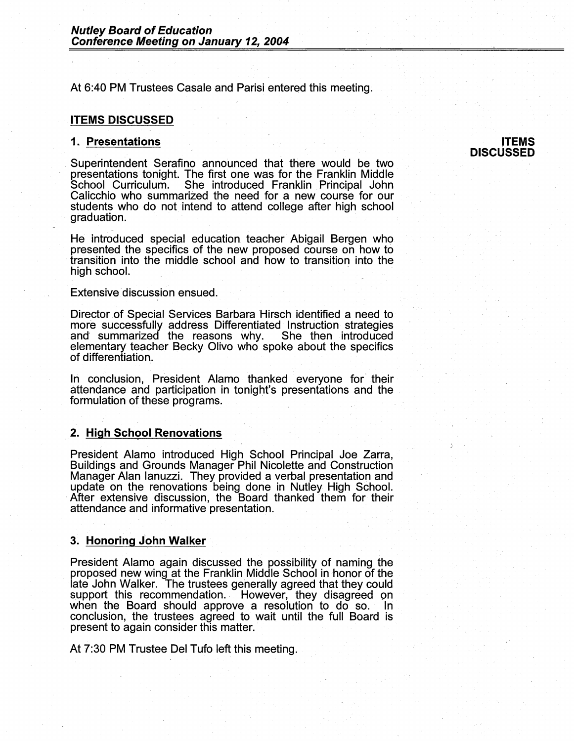At 6:40 PM Trustees Casale and Parisi entered this meeting.

#### **ITEMS DISCUSSED**

#### **1. Presentations**

Superintendent Serafino announced that there would be two presentations tonight. The first one was for the Franklin Middle She introduced Franklin Principal John Calicchio who summarized the need for a new course for our students who do not intend to attend college after high school graduation.

He introduced special education teacher Abigail Bergen who presented the specifics of the new proposed course on how to transition into the middle school and how to transition into the high school.

Extensive discussion ensued.

Director of Special Services Barbara Hirsch identified a need to more successfully address Differentiated Instruction strategies and summarized the reasons why. She then introduced elementary teacher Becky Olivo who spoke about the specifics of differentiation.

In conclusion, President Alamo thanked everyone for- their attendance and participation in tonight's presentations and the formulation of these programs.

#### **2. High School Renovations**

President Alamo introduced High School Principal Joe Zarra, Buildings and Grounds Manager Phil Nicolette and Construction Manager Alan Ianuzzi. They provided a verbal presentation and update on the renovations being done in Nutley High School. After extensive discussion, the Board thanked them for their attendance and informative presentation.

#### **3. Honoring John Walker**

President Alamo again discussed the possibility of naming the proposed new wing at the Franklin Middle School in honor of the late John Walker. The trustees generally agreed that they could support this recommendation. However, they disagreed on when the Board should approve a resolution to do so. In conclusion, the trustees agreed to wait until the full Board is present to again consider this matter.

At 7:30 PM Trustee Del Tufo left this meeting.

#### **ITEMS DISCUSSED**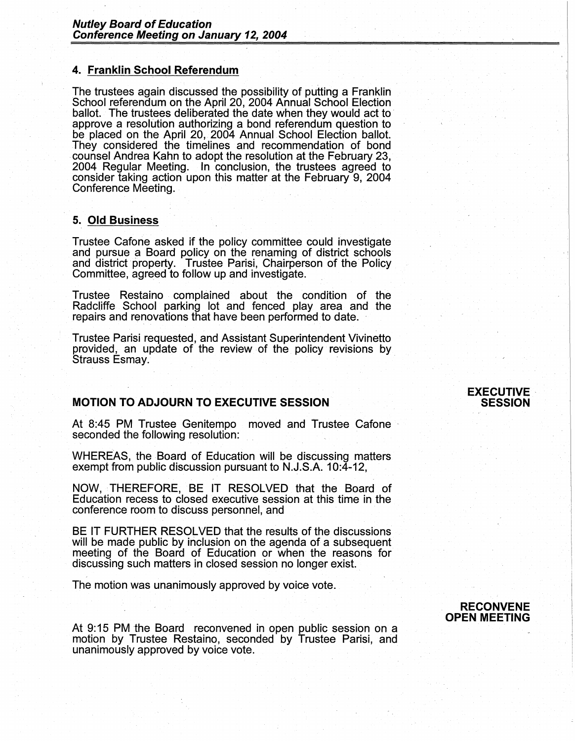# **4. Franklin School Referendum**

The trustees again discussed the possibility of putting a Franklin School referendum on the April 20, 2004 Annual School Election ballot. The trustees deliberated the date when they would act to approve a resolution authorizing a bond referendum question to be placed on the April 20, 2004 Annual School Election ballot.<br>They considered the timelines and recommendation of bond counsel Andrea Kahn to adopt the resolution at the February 23, 2004 Regular Meeting. In conclusion, the trustees agreed to consider taking action upon this matter at the February 9, 2004 Conference Meeting.

### **5. Old Business**

Trustee Catone asked if the policy committee could investigate and pursue a Board policy on the renaming of district schools and district property. Trustee Parisi, Chairperson of the Policy Committee, agreed to follow up and investigate.

Trustee Restaino complained about the condition of the Radcliffe School parking lot and fenced play area and the repairs and renovations that have been performed to date.

Trustee Parisi requested, and Assistant Superintendent Vivinetto provided, an update of the review of the policy revisions by Strauss Esmay.

# **MOTION TO ADJOURN TO EXECUTIVE SESSION**

At 8:45 PM Trustee Genitempo moved and Trustee Cafone seconded the following resolution:

WHEREAS, the Board of Education will be discussing matters exempt from public discussion pursuant to N.J.S.A. 10:4-12,

NOW, THEREFORE, BE IT RESOLVED that the Board of Education recess to closed executive session at this time in the conference room to discuss personnel, and

BE IT FURTHER RESOLVED that the results of the discussions will be made public by inclusion on the agenda of a subsequent meeting of the Board of Education or when the reasons for discussing such matters in closed session no longer exist.

The motion was unanimously approved by voice vote.

At 9: 15 PM the Board reconvened in open public session on a motion by Trustee Restaino, seconded by Trustee Parisi, and unanimously approved by voice vote.

# **EXECUTIVE SESSION**